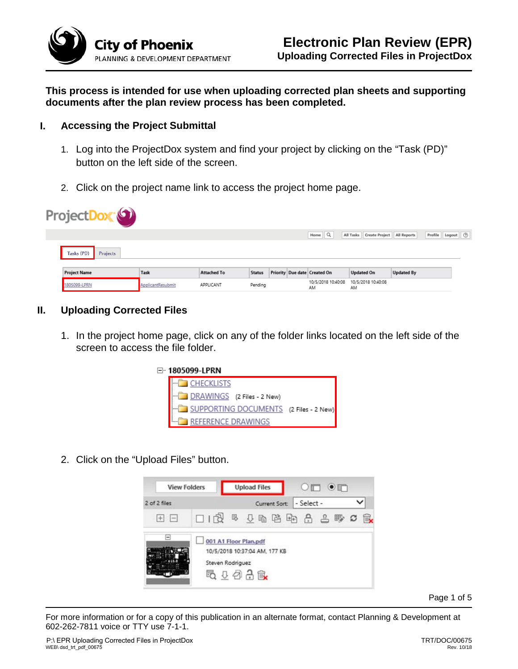

**This process is intended for use when uploading corrected plan sheets and supporting documents after the plan review process has been completed.** 

## **I. Accessing the Project Submittal**

- 1. Log into the ProjectDox system and find your project by clicking on the "Task (PD)" button on the left side of the screen.
- 2. Click on the project name link to access the project home page.

| ProjectDox <sup>®</sup>       |                   |                    |               |  |                              |                                        |                   |                    |
|-------------------------------|-------------------|--------------------|---------------|--|------------------------------|----------------------------------------|-------------------|--------------------|
|                               |                   |                    |               |  | Home Q                       | All Tasks Create Project   All Reports |                   | Profile Logout (2) |
| Tasks (PD)<br><b>Projects</b> |                   |                    |               |  |                              |                                        |                   |                    |
| <b>Project Name</b>           | Task              | <b>Attached To</b> | <b>Status</b> |  | Priority Due date Created On | <b>Updated On</b>                      | <b>Updated By</b> |                    |
| 1805099-LPRN                  | ApplicantResubmit | APPLICANT          | Pending       |  | 10/5/2018 10:40:08<br>AM     | 10/5/2018 10:40:08<br>AM               |                   |                    |

## **II. Uploading Corrected Files**

- 1. In the project home page, click on any of the folder links located on the left side of the screen to access the file folder.
	- □ 1805099-LPRN **CHECKLISTS** DRAWINGS (2 Files - 2 New) SUPPORTING DOCUMENTS (2 Files - 2 New) **REFERENCE DRAWINGS**
- 2. Click on the "Upload Files" button.



Page 1 of 5

For more information or for a copy of this publication in an alternate format, contact Planning & Development at 602-262-7811 voice or TTY use 7-1-1.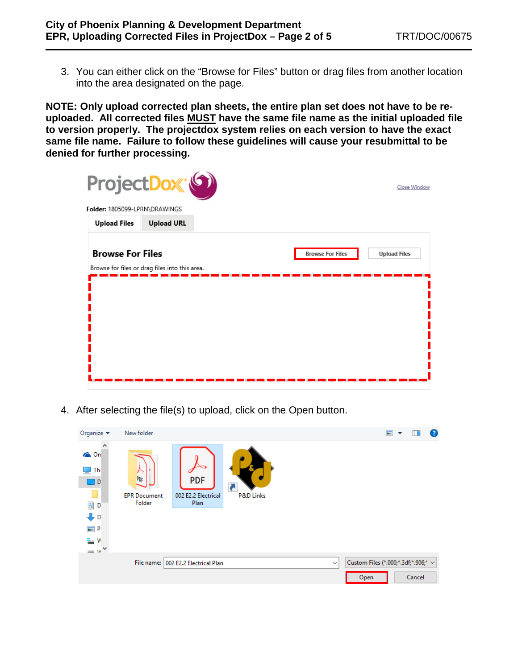3. You can either click on the "Browse for Files" button or drag files from another location into the area designated on the page.

**NOTE: Only upload corrected plan sheets, the entire plan set does not have to be reuploaded. All corrected files MUST have the same file name as the initial uploaded file to version properly. The projectdox system relies on each version to have the exact same file name. Failure to follow these guidelines will cause your resubmittal to be denied for further processing.**

| ProjectDox <sup>®</sup><br>Close Window        |                   |  |                         |                     |  |
|------------------------------------------------|-------------------|--|-------------------------|---------------------|--|
| Folder: 1805099-LPRN\DRAWINGS                  |                   |  |                         |                     |  |
| <b>Upload Files</b>                            | <b>Upload URL</b> |  |                         |                     |  |
| <b>Browse For Files</b>                        |                   |  | <b>Browse For Files</b> | <b>Upload Files</b> |  |
| Browse for files or drag files into this area. |                   |  |                         |                     |  |
|                                                |                   |  |                         |                     |  |
|                                                |                   |  |                         |                     |  |
|                                                |                   |  |                         |                     |  |
|                                                |                   |  |                         |                     |  |

4. After selecting the file(s) to upload, click on the Open button.

| Organize v                                                                                                                       | New folder                           |                                     |           |              | $\blacksquare$                      | $\overline{\mathbf{v}}$ |        | Ø |
|----------------------------------------------------------------------------------------------------------------------------------|--------------------------------------|-------------------------------------|-----------|--------------|-------------------------------------|-------------------------|--------|---|
| <b>C</b> On<br>$\Box$ Th<br>$\Box$ D<br>鱼 D<br>$\bigcup_{i=1}^{n} D_i$<br>$=$ P<br><sub>生</sub> v<br>$\checkmark$<br>$\equiv$ 14 | PDF<br><b>EPR Document</b><br>Folder | PDF<br>002 E2.2 Electrical<br>Plan  | P&D Links |              |                                     |                         |        |   |
|                                                                                                                                  |                                      | File name: 002 E2.2 Electrical Plan |           | $\checkmark$ | Custom Files (*.000;*.3df;*.906;* ~ |                         |        |   |
|                                                                                                                                  |                                      |                                     |           |              | Open                                |                         | Cancel |   |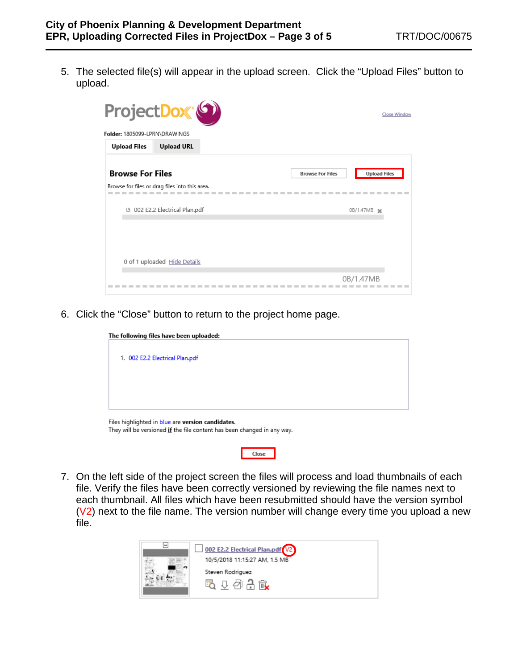5. The selected file(s) will appear in the upload screen. Click the "Upload Files" button to upload.

| ProjectDox G<br>Close Window  |                                                |                                                |  |  |  |  |  |
|-------------------------------|------------------------------------------------|------------------------------------------------|--|--|--|--|--|
| Folder: 1805099-LPRN\DRAWINGS |                                                |                                                |  |  |  |  |  |
| <b>Upload Files</b>           | <b>Upload URL</b>                              |                                                |  |  |  |  |  |
| <b>Browse For Files</b>       | Browse for files or drag files into this area. | <b>Upload Files</b><br><b>Browse For Files</b> |  |  |  |  |  |
|                               | 0 002 E2.2 Electrical Plan.pdf                 | 0B/1.47MB *                                    |  |  |  |  |  |
|                               | 0 of 1 uploaded Hide Details                   | 0B/1.47MB                                      |  |  |  |  |  |

6. Click the "Close" button to return to the project home page.

| The following files have been uploaded:                                                                                      |  |  |  |  |  |  |
|------------------------------------------------------------------------------------------------------------------------------|--|--|--|--|--|--|
|                                                                                                                              |  |  |  |  |  |  |
| 1. 002 E2.2 Electrical Plan.pdf                                                                                              |  |  |  |  |  |  |
|                                                                                                                              |  |  |  |  |  |  |
|                                                                                                                              |  |  |  |  |  |  |
|                                                                                                                              |  |  |  |  |  |  |
|                                                                                                                              |  |  |  |  |  |  |
| Files highlighted in blue are version candidates.<br>They will be versioned if the file content has been changed in any way. |  |  |  |  |  |  |

Close

7. On the left side of the project screen the files will process and load thumbnails of each file. Verify the files have been correctly versioned by reviewing the file names next to each thumbnail. All files which have been resubmitted should have the version symbol  $(V2)$  next to the file name. The version number will change every time you upload a new file.

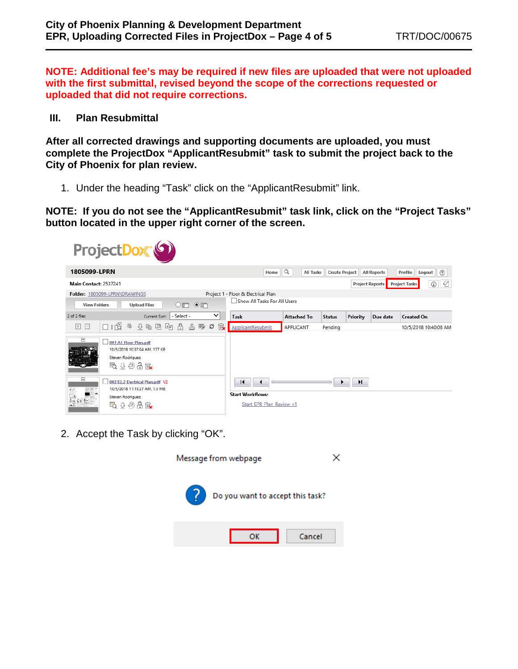**NOTE: Additional fee's may be required if new files are uploaded that were not uploaded with the first submittal, revised beyond the scope of the corrections requested or uploaded that did not require corrections.**

## **III. Plan Resubmittal**

**After all corrected drawings and supporting documents are uploaded, you must complete the ProjectDox "ApplicantResubmit" task to submit the project back to the City of Phoenix for plan review.**

1. Under the heading "Task" click on the "ApplicantResubmit" link.

**NOTE: If you do not see the "ApplicantResubmit" task link, click on the "Project Tasks" button located in the upper right corner of the screen.**

| ProjectDox <sup>®</sup>                                                                                |                                                        |                               |                                 |                                          |                                     |                              |                    |                       |          |                    |                       |                   |
|--------------------------------------------------------------------------------------------------------|--------------------------------------------------------|-------------------------------|---------------------------------|------------------------------------------|-------------------------------------|------------------------------|--------------------|-----------------------|----------|--------------------|-----------------------|-------------------|
| 1805099-LPRN                                                                                           |                                                        |                               |                                 |                                          |                                     | $\alpha$<br>Home             | <b>All Tasks</b>   | <b>Create Project</b> |          | <b>All Reports</b> | Profile               | Logout $\bigcirc$ |
| Main Contact: 2537241                                                                                  |                                                        |                               |                                 |                                          |                                     |                              |                    |                       |          | Project Reports    | <b>Project Tasks</b>  | -2<br>⊙           |
|                                                                                                        | Folder: 1805099-LPRN\DRAWINGS                          |                               |                                 |                                          | Project 1 - Floor & Electrical Plan |                              |                    |                       |          |                    |                       |                   |
| <b>View Folders</b>                                                                                    |                                                        | <b>Upload Files</b>           | $O$ $\square$ $\odot$ $\square$ |                                          |                                     | Show All Tasks For All Users |                    |                       |          |                    |                       |                   |
| 2 of 2 files                                                                                           |                                                        | Current Sort:                 | - Select -                      | $\checkmark$                             | Task                                |                              | <b>Attached To</b> | <b>Status</b>         | Priority | Due date           | <b>Created On</b>     |                   |
| $\Box$<br>$\Box$                                                                                       | । । । २<br>昆<br>П                                      | 鹛<br>⇩<br>昏<br>$\pm$ $\pm$    | A<br>욕<br>黪                     | $\overline{\mathbb{R}}$<br>$\mathcal{Z}$ | ApplicantResubmit                   |                              | APPLICANT          | Pending               |          |                    | 10/5/2018 10:40:08 AM |                   |
| $\boxdot$                                                                                              | 001 A1 Floor Plan.pdf<br>Steven Rodriguez<br>4 4 4 4 6 | 10/5/2018 10:37:04 AM, 177 KB |                                 |                                          |                                     |                              |                    |                       |          |                    |                       |                   |
| E<br>002 E2.2 Electrical Plan.pdf V2<br>10/5/2018 11:15:27 AM, 1.5 MB<br>Steven Rodriguez<br>4 4 4 4 6 |                                                        |                               |                                 | и<br><b>Start Workflows:</b>             | Start EPR Plan Review v1            |                              |                    | $\mathbf{H}$          |          |                    |                       |                   |

2. Accept the Task by clicking "OK".